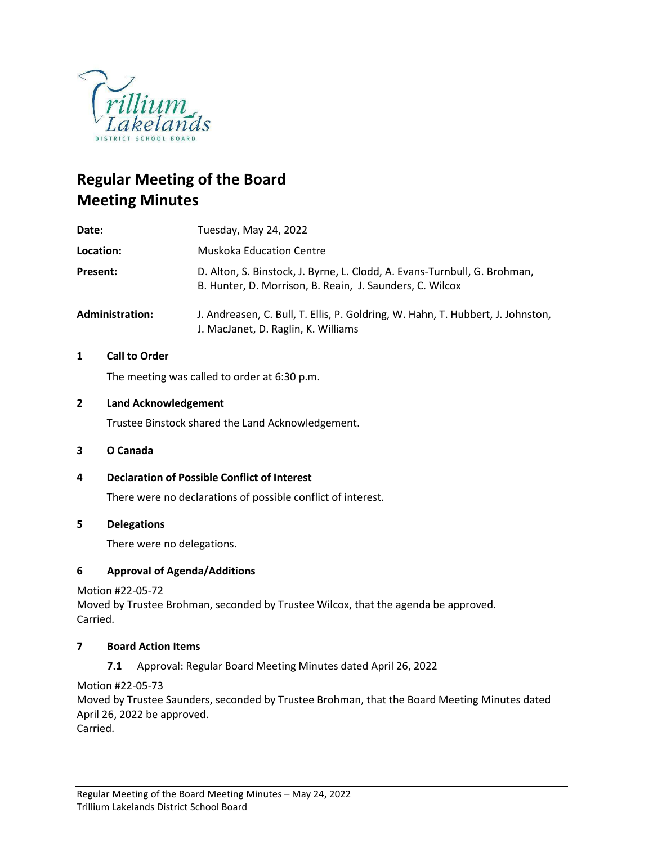

# **Regular Meeting of the Board Meeting Minutes**

| Date:                  | Tuesday, May 24, 2022                                                                                                                 |
|------------------------|---------------------------------------------------------------------------------------------------------------------------------------|
| Location:              | <b>Muskoka Education Centre</b>                                                                                                       |
| Present:               | D. Alton, S. Binstock, J. Byrne, L. Clodd, A. Evans-Turnbull, G. Brohman,<br>B. Hunter, D. Morrison, B. Reain, J. Saunders, C. Wilcox |
| <b>Administration:</b> | J. Andreasen, C. Bull, T. Ellis, P. Goldring, W. Hahn, T. Hubbert, J. Johnston,<br>J. MacJanet, D. Raglin, K. Williams                |

## **1 Call to Order**

The meeting was called to order at 6:30 p.m.

## **2 Land Acknowledgement**

Trustee Binstock shared the Land Acknowledgement.

#### **3 O Canada**

**4 Declaration of Possible Conflict of Interest**

There were no declarations of possible conflict of interest.

#### **5 Delegations**

There were no delegations.

#### **6 Approval of Agenda/Additions**

Motion #22-05-72

Moved by Trustee Brohman, seconded by Trustee Wilcox, that the agenda be approved. Carried.

#### **7 Board Action Items**

**7.1** Approval: Regular Board Meeting Minutes dated April 26, 2022

Motion #22-05-73

Moved by Trustee Saunders, seconded by Trustee Brohman, that the Board Meeting Minutes dated April 26, 2022 be approved.

Carried.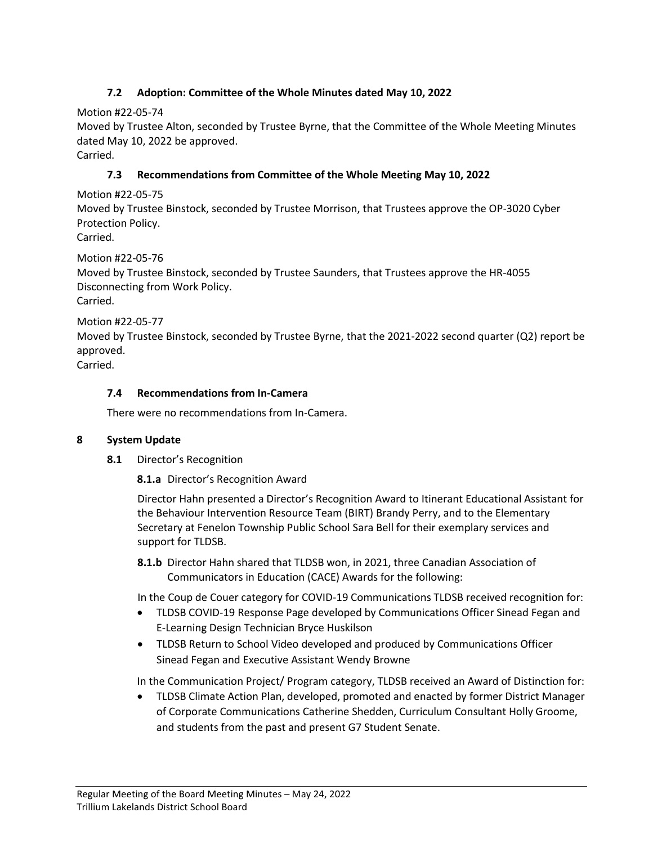# **7.2 Adoption: Committee of the Whole Minutes dated May 10, 2022**

Motion #22-05-74

Moved by Trustee Alton, seconded by Trustee Byrne, that the Committee of the Whole Meeting Minutes dated May 10, 2022 be approved.

Carried.

# **7.3 Recommendations from Committee of the Whole Meeting May 10, 2022**

Motion #22-05-75

Moved by Trustee Binstock, seconded by Trustee Morrison, that Trustees approve the OP-3020 Cyber Protection Policy.

Carried.

Motion #22-05-76

Moved by Trustee Binstock, seconded by Trustee Saunders, that Trustees approve the HR-4055 Disconnecting from Work Policy. Carried.

Motion #22-05-77

Moved by Trustee Binstock, seconded by Trustee Byrne, that the 2021-2022 second quarter (Q2) report be approved.

Carried.

# **7.4 Recommendations from In-Camera**

There were no recommendations from In-Camera.

## **8 System Update**

**8.1** Director's Recognition

**8.1.a** Director's Recognition Award

Director Hahn presented a Director's Recognition Award to Itinerant Educational Assistant for the Behaviour Intervention Resource Team (BIRT) Brandy Perry, and to the Elementary Secretary at Fenelon Township Public School Sara Bell for their exemplary services and support for TLDSB.

**8.1.b** Director Hahn shared that TLDSB won, in 2021, three Canadian Association of Communicators in Education (CACE) Awards for the following:

In the Coup de Couer category for COVID-19 Communications TLDSB received recognition for:

- TLDSB COVID-19 Response Page developed by Communications Officer Sinead Fegan and E-Learning Design Technician Bryce Huskilson
- TLDSB Return to School Video developed and produced by Communications Officer Sinead Fegan and Executive Assistant Wendy Browne

In the Communication Project/ Program category, TLDSB received an Award of Distinction for:

• TLDSB Climate Action Plan, developed, promoted and enacted by former District Manager of Corporate Communications Catherine Shedden, Curriculum Consultant Holly Groome, and students from the past and present G7 Student Senate.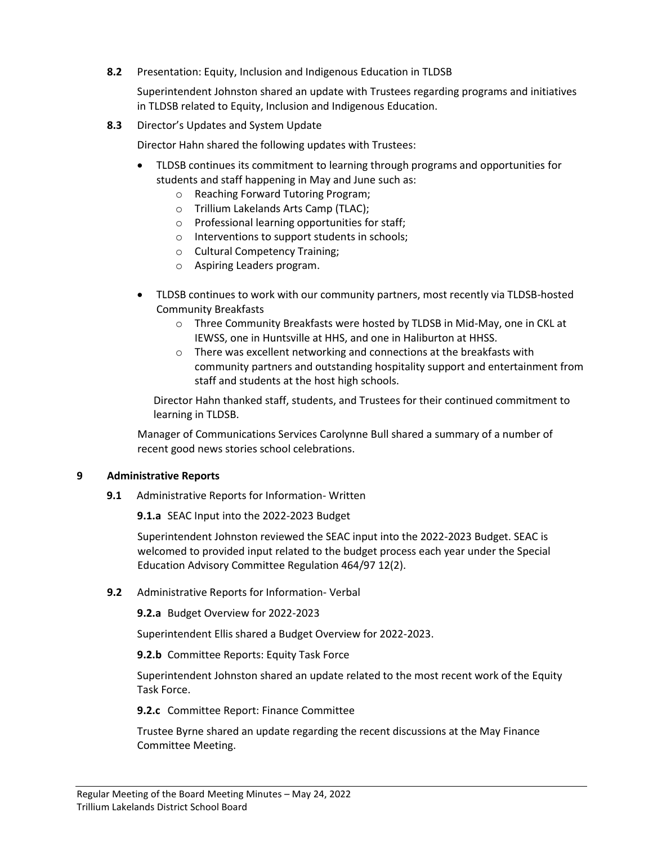## **8.2** Presentation: Equity, Inclusion and Indigenous Education in TLDSB

Superintendent Johnston shared an update with Trustees regarding programs and initiatives in TLDSB related to Equity, Inclusion and Indigenous Education.

**8.3** Director's Updates and System Update

Director Hahn shared the following updates with Trustees:

- TLDSB continues its commitment to learning through programs and opportunities for students and staff happening in May and June such as:
	- o Reaching Forward Tutoring Program;
	- o Trillium Lakelands Arts Camp (TLAC);
	- o Professional learning opportunities for staff;
	- o Interventions to support students in schools;
	- o Cultural Competency Training;
	- o Aspiring Leaders program.
- TLDSB continues to work with our community partners, most recently via TLDSB-hosted Community Breakfasts
	- o Three Community Breakfasts were hosted by TLDSB in Mid-May, one in CKL at IEWSS, one in Huntsville at HHS, and one in Haliburton at HHSS.
	- o There was excellent networking and connections at the breakfasts with community partners and outstanding hospitality support and entertainment from staff and students at the host high schools.

Director Hahn thanked staff, students, and Trustees for their continued commitment to learning in TLDSB.

Manager of Communications Services Carolynne Bull shared a summary of a number of recent good news stories school celebrations.

#### **9 Administrative Reports**

**9.1** Administrative Reports for Information- Written

**9.1.a** SEAC Input into the 2022-2023 Budget

Superintendent Johnston reviewed the SEAC input into the 2022-2023 Budget. SEAC is welcomed to provided input related to the budget process each year under the Special Education Advisory Committee Regulation 464/97 12(2).

**9.2** Administrative Reports for Information- Verbal

**9.2.a** Budget Overview for 2022-2023

Superintendent Ellis shared a Budget Overview for 2022-2023.

**9.2.b** Committee Reports: Equity Task Force

Superintendent Johnston shared an update related to the most recent work of the Equity Task Force.

**9.2.c** Committee Report: Finance Committee

Trustee Byrne shared an update regarding the recent discussions at the May Finance Committee Meeting.